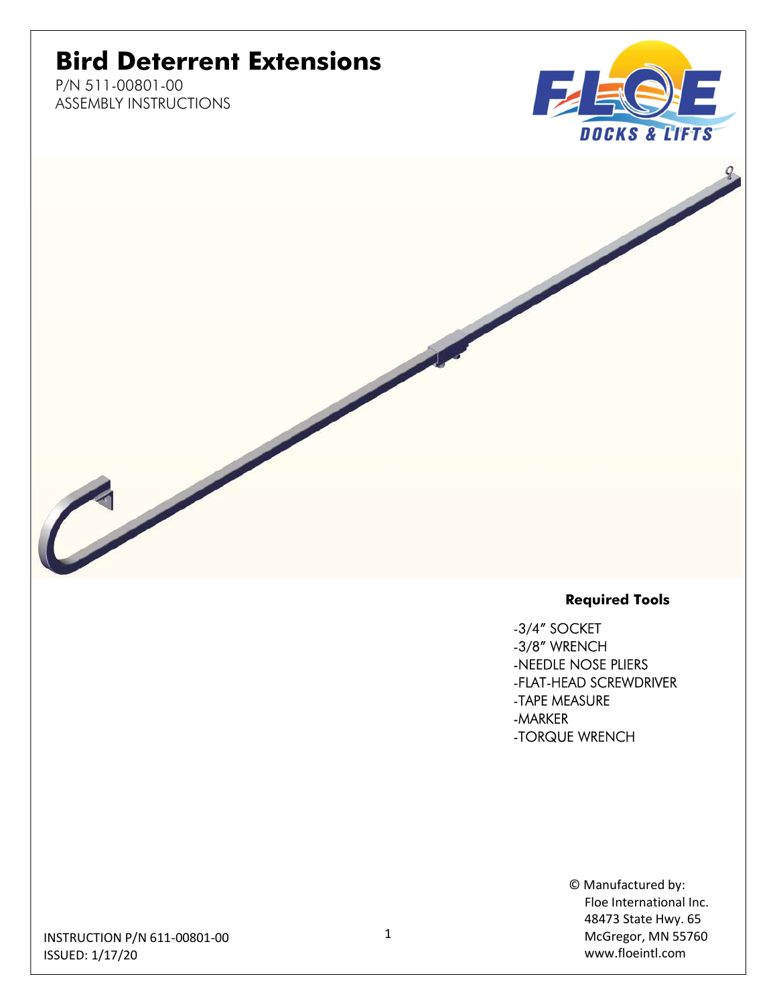## Bird Deterrent Extensions

P/N 511-00801-00 ASSEMBLY INSTRUCTIONS



#### Required Tools

-3/4" SOCKET -3/8" WRENCH -NEEDLE NOSE PLIERS -FLAT-HEAD SCREWDRIVER -TAPE MEASURE -MARKER -TORQUE WRENCH

> © Manufactured by: Floe International Inc. 48473 State Hwy. 65 McGregor, MN 55760 www.floeintl.com

INSTRUCTION P/N 611-00801-00 ISSUED: 1/17/20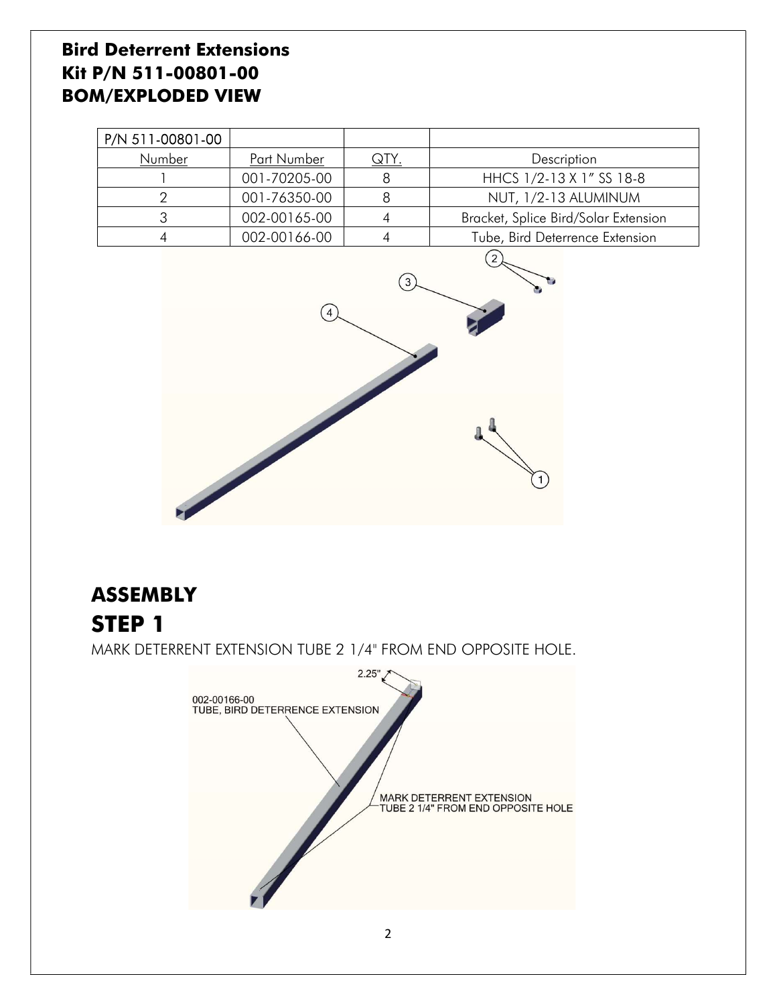#### Bird Deterrent Extensions Kit P/N 511-00801-00 BOM/EXPLODED VIEW

| P/N 511-00801-00 |              |             |                                      |
|------------------|--------------|-------------|--------------------------------------|
| Number           | Part Number  | <u>QTY.</u> | Description                          |
|                  | 001-70205-00 |             | HHCS 1/2-13 X 1" SS 18-8             |
|                  | 001-76350-00 |             | NUT, 1/2-13 ALUMINUM                 |
|                  | 002-00165-00 |             | Bracket, Splice Bird/Solar Extension |
|                  | 002-00166-00 |             | Tube, Bird Deterrence Extension      |



# **ASSEMBLY** STEP 1 MARK DETERRENT EXTENSION TUBE 2 1/4" FROM END OPPOSITE HOLE.

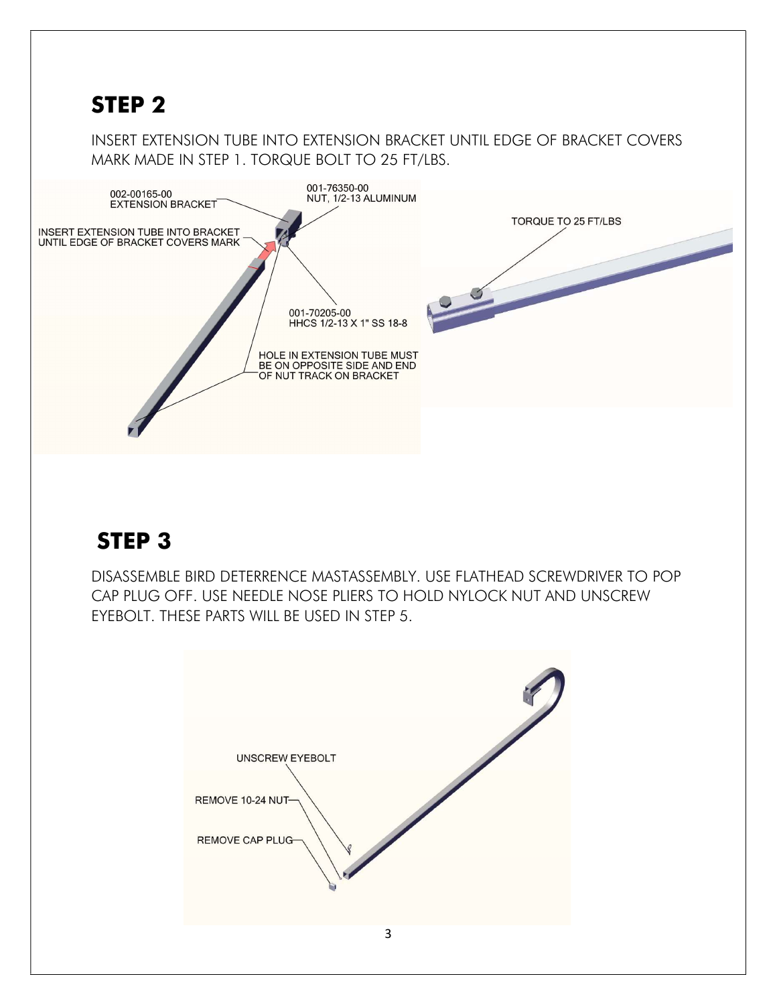#### STEP 2

INSERT EXTENSION TUBE INTO EXTENSION BRACKET UNTIL EDGE OF BRACKET COVERS MARK MADE IN STEP 1. TORQUE BOLT TO 25 FT/LBS.



### STEP 3

DISASSEMBLE BIRD DETERRENCE MASTASSEMBLY. USE FLATHEAD SCREWDRIVER TO POP CAP PLUG OFF. USE NEEDLE NOSE PLIERS TO HOLD NYLOCK NUT AND UNSCREW EYEBOLT. THESE PARTS WILL BE USED IN STEP 5.